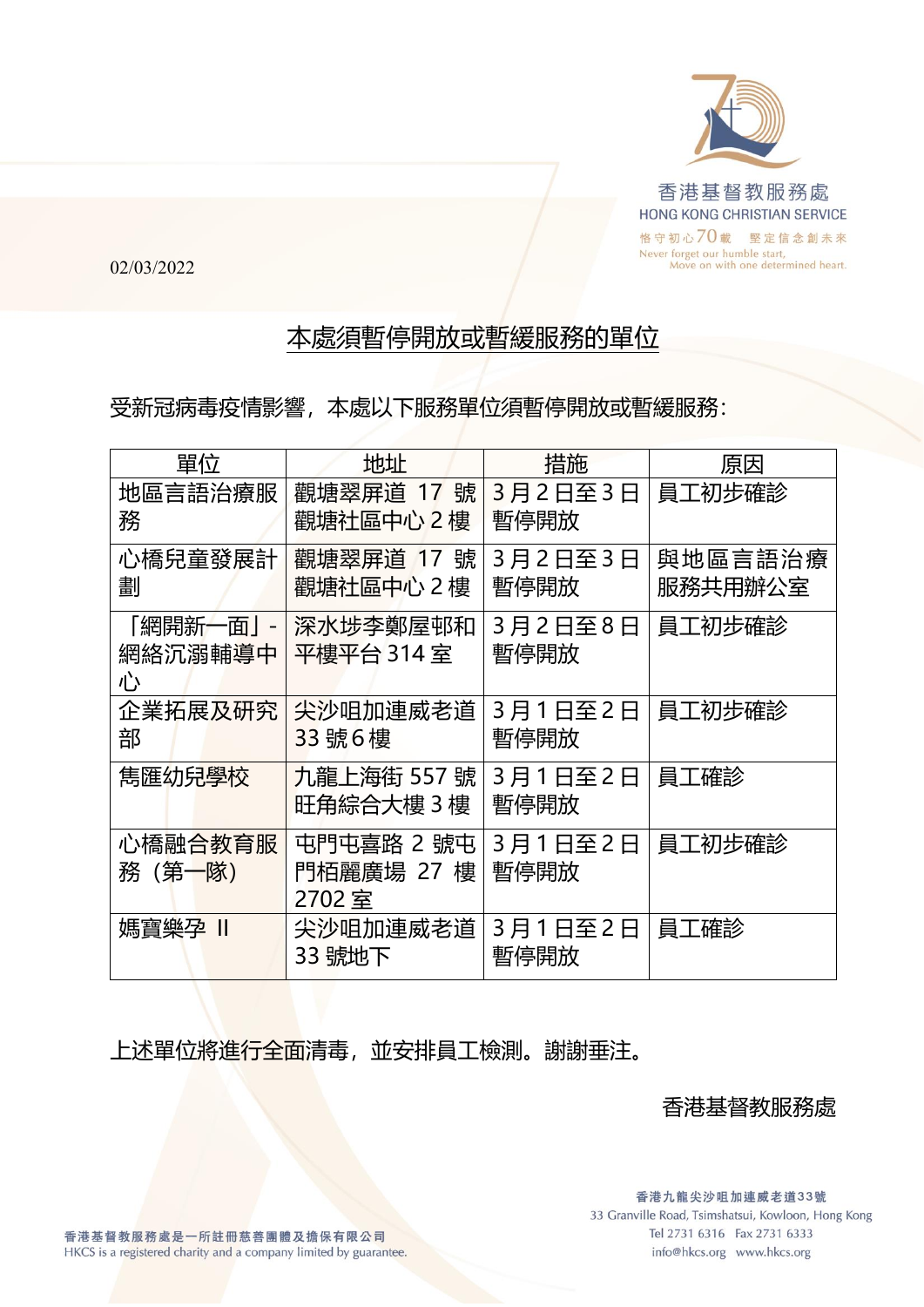

02/03/2022

## 本處須暫停開放或暫緩服務的單位

受新冠病毒疫情影響,本處以下服務單位須暫停開放或暫緩服務:

| 單位        | 地址         | 措施      | 原因      |
|-----------|------------|---------|---------|
| 地區言語治療服   | 觀塘翠屏道 17 號 | 3月2日至3日 | 員工初步確診  |
| 務         | 觀塘社區中心 2樓  | 暫停開放    |         |
| 心橋兒童發展計   | 觀塘翠屏道 17號  | 3月2日至3日 | 與地區言語治療 |
| 劃         | 觀塘社區中心 2樓  | 暫停開放    | 服務共用辦公室 |
| 「網開新一面」 - | 深水埗李鄭屋邨和   | 3月2日至8日 | 員工初步確診  |
| 網絡沉溺輔導中   | 平樓平台 314 室 | 暫停開放    |         |
| 心         |            |         |         |
| 企業拓展及研究   | 尖沙咀加連威老道   | 3月1日至2日 | 員工初步確診  |
| 部         | 33號6樓      | 暫停開放    |         |
| 雋匯幼兒學校    | 九龍上海街 557號 | 3月1日至2日 | 員工確診    |
|           | 旺角綜合大樓 3 樓 | 暫停開放    |         |
| 心橋融合教育服   | 屯門屯喜路 2 號屯 | 3月1日至2日 | 員工初步確診  |
| 務 (第一隊)   | 門栢麗廣場 27 樓 | 暫停開放    |         |
|           | 2702室      |         |         |
| 媽寶樂孕 II   | 尖沙咀加連威老道   | 3月1日至2日 | 員工確診    |
|           | 33 號地下     | 暫停開放    |         |
|           |            |         |         |

上述單位將進行全面清毒,並安排員工檢測。謝謝垂注。

香港基督教服務處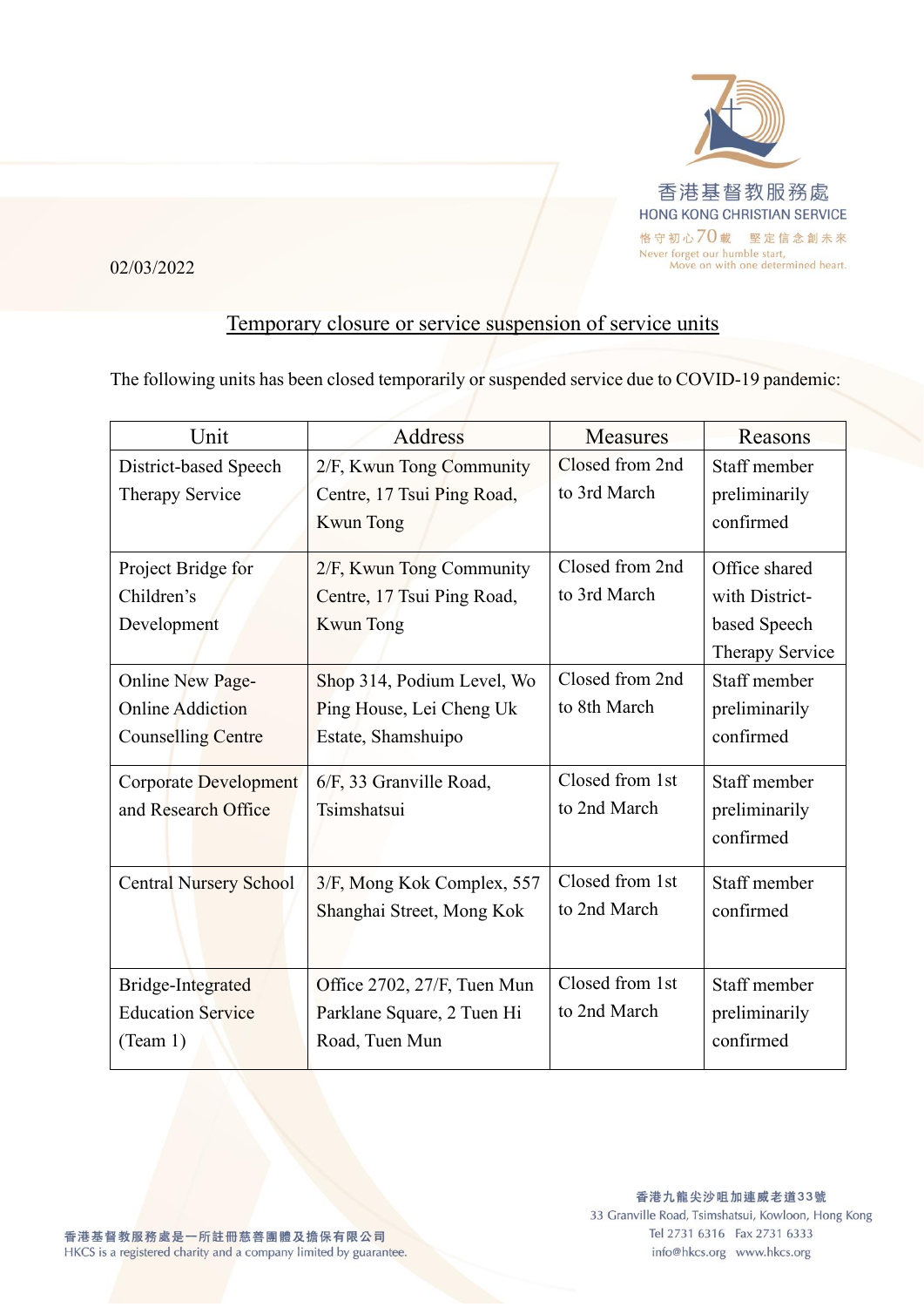

02/03/2022

## Temporary closure or service suspension of service units

The following units has been closed temporarily or suspended service due to COVID-19 pandemic:

| Unit                          | <b>Address</b>              | <b>Measures</b> | Reasons         |
|-------------------------------|-----------------------------|-----------------|-----------------|
| District-based Speech         | 2/F, Kwun Tong Community    | Closed from 2nd | Staff member    |
| Therapy Service               | Centre, 17 Tsui Ping Road,  | to 3rd March    | preliminarily   |
|                               | Kwun Tong                   |                 | confirmed       |
| Project Bridge for            | 2/F, Kwun Tong Community    | Closed from 2nd | Office shared   |
| Children's                    | Centre, 17 Tsui Ping Road,  | to 3rd March    | with District-  |
| Development                   | <b>Kwun Tong</b>            |                 | based Speech    |
|                               |                             |                 | Therapy Service |
| Online New Page-              | Shop 314, Podium Level, Wo  | Closed from 2nd | Staff member    |
| <b>Online Addiction</b>       | Ping House, Lei Cheng Uk    | to 8th March    | preliminarily   |
| Counselling Centre            | Estate, Shamshuipo          |                 | confirmed       |
| <b>Corporate Development</b>  | 6/F, 33 Granville Road,     | Closed from 1st | Staff member    |
| and Research Office           | Tsimshatsui                 | to 2nd March    | preliminarily   |
|                               |                             |                 | confirmed       |
| <b>Central Nursery School</b> | 3/F, Mong Kok Complex, 557  | Closed from 1st | Staff member    |
|                               | Shanghai Street, Mong Kok   | to 2nd March    | confirmed       |
|                               |                             |                 |                 |
| Bridge-Integrated             | Office 2702, 27/F, Tuen Mun | Closed from 1st | Staff member    |
| <b>Education Service</b>      | Parklane Square, 2 Tuen Hi  | to 2nd March    | preliminarily   |
| (Team 1)                      | Road, Tuen Mun              |                 | confirmed       |
|                               |                             |                 |                 |